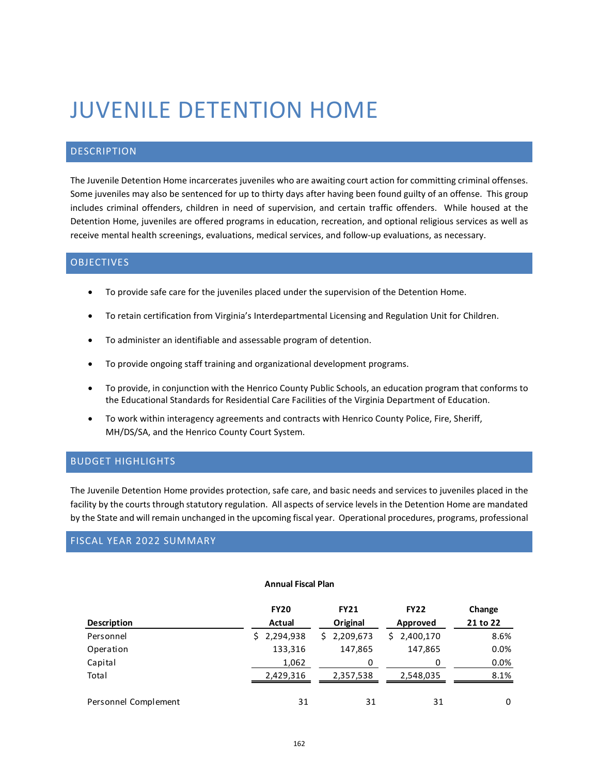# JUVENILE DETENTION HOME

## DESCRIPTION

The Juvenile Detention Home incarcerates juveniles who are awaiting court action for committing criminal offenses. Some juveniles may also be sentenced for up to thirty days after having been found guilty of an offense. This group includes criminal offenders, children in need of supervision, and certain traffic offenders. While housed at the Detention Home, juveniles are offered programs in education, recreation, and optional religious services as well as receive mental health screenings, evaluations, medical services, and follow-up evaluations, as necessary.

#### **OBJECTIVES**

- To provide safe care for the juveniles placed under the supervision of the Detention Home.
- To retain certification from Virginia's Interdepartmental Licensing and Regulation Unit for Children.
- To administer an identifiable and assessable program of detention.
- To provide ongoing staff training and organizational development programs.
- To provide, in conjunction with the Henrico County Public Schools, an education program that conforms to the Educational Standards for Residential Care Facilities of the Virginia Department of Education.
- To work within interagency agreements and contracts with Henrico County Police, Fire, Sheriff, MH/DS/SA, and the Henrico County Court System.

## BUDGET HIGHLIGHTS

The Juvenile Detention Home provides protection, safe care, and basic needs and services to juveniles placed in the facility by the courts through statutory regulation. All aspects of service levels in the Detention Home are mandated by the State and will remain unchanged in the upcoming fiscal year. Operational procedures, programs, professional

## FISCAL YEAR 2022 SUMMARY

#### **Annual Fiscal Plan**

| <b>Description</b>   | <b>FY20</b><br>Actual | <b>FY21</b><br>Original | <b>FY22</b><br>Approved | Change<br>21 to 22 |
|----------------------|-----------------------|-------------------------|-------------------------|--------------------|
| Personnel            | \$2,294,938           | \$2,209,673             | \$2,400,170             | 8.6%               |
| Operation            | 133,316               | 147,865                 | 147,865                 | 0.0%               |
| Capital              | 1,062                 | 0                       | U                       | 0.0%               |
| Total                | 2,429,316             | 2,357,538               | 2,548,035               | 8.1%               |
| Personnel Complement | 31                    | 31                      | 31                      | 0                  |